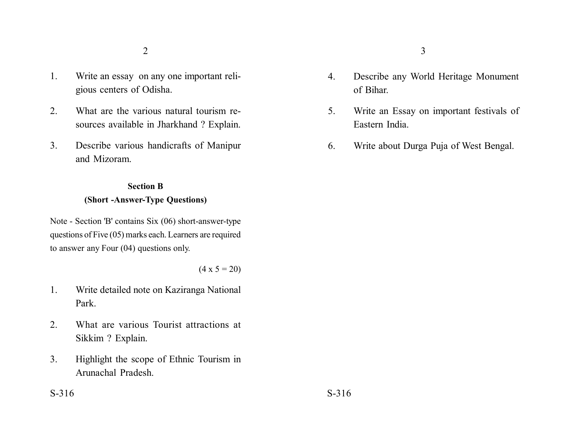- 1. Write an essay on any one important religious centers of Odisha.
- 2. What are the various natural tourism resources available in Jharkhand ? Explain.
- 3. Describe various handicrafts of Manipur and Mizoram.

## **Section B (Short -Answer-Type Questions)**

Note - Section 'B' contains Six (06) short-answer-type questions of Five (05) marks each. Learners are required to answer any Four (04) questions only.

 $(4 \times 5 = 20)$ 

- 1. Write detailed note on Kaziranga National Park.
- 2. What are various Tourist attractions at Sikkim ? Explain.
- 3. Highlight the scope of Ethnic Tourism in Arunachal Pradesh.
- 4. Describe any World Heritage Monument of Bihar.
- 5. Write an Essay on important festivals of Eastern India.
- 6. Write about Durga Puja of West Bengal.

 $S-316$   $S-316$